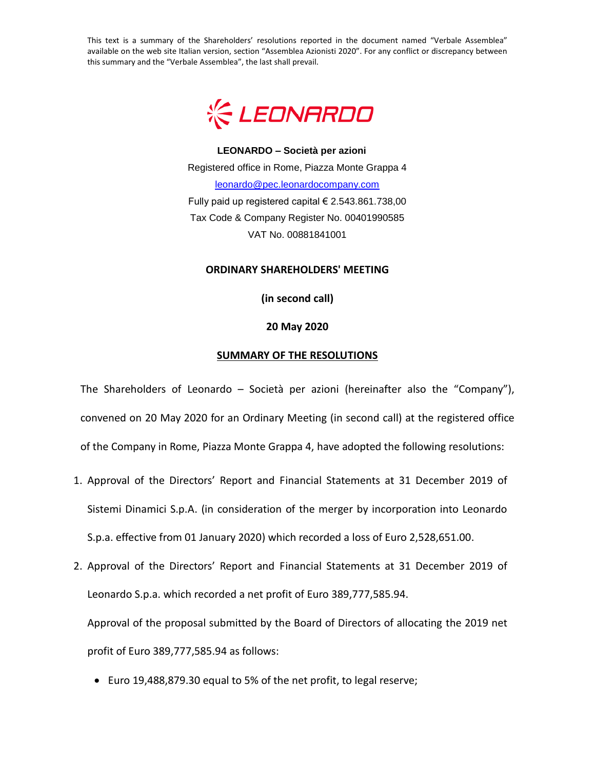This text is a summary of the Shareholders' resolutions reported in the document named "Verbale Assemblea" available on the web site Italian version, section "Assemblea Azionisti 2020". For any conflict or discrepancy between this summary and the "Verbale Assemblea", the last shall prevail.



**LEONARDO – Società per azioni** Registered office in Rome, Piazza Monte Grappa 4 [leonardo@pec.leonardocompany.com](mailto:leonardo@pec.leonardocompany.com) Fully paid up registered capital € 2.543.861.738,00 Tax Code & Company Register No. 00401990585 VAT No. 00881841001

## **ORDINARY SHAREHOLDERS' MEETING**

**(in second call)**

## **20 May 2020**

## **SUMMARY OF THE RESOLUTIONS**

The Shareholders of Leonardo – Società per azioni (hereinafter also the "Company"), convened on 20 May 2020 for an Ordinary Meeting (in second call) at the registered office of the Company in Rome, Piazza Monte Grappa 4, have adopted the following resolutions:

- 1. Approval of the Directors' Report and Financial Statements at 31 December 2019 of Sistemi Dinamici S.p.A. (in consideration of the merger by incorporation into Leonardo S.p.a. effective from 01 January 2020) which recorded a loss of Euro 2,528,651.00.
- 2. Approval of the Directors' Report and Financial Statements at 31 December 2019 of Leonardo S.p.a. which recorded a net profit of Euro 389,777,585.94. Approval of the proposal submitted by the Board of Directors of allocating the 2019 net profit of Euro 389,777,585.94 as follows:
	- Euro 19,488,879.30 equal to 5% of the net profit, to legal reserve;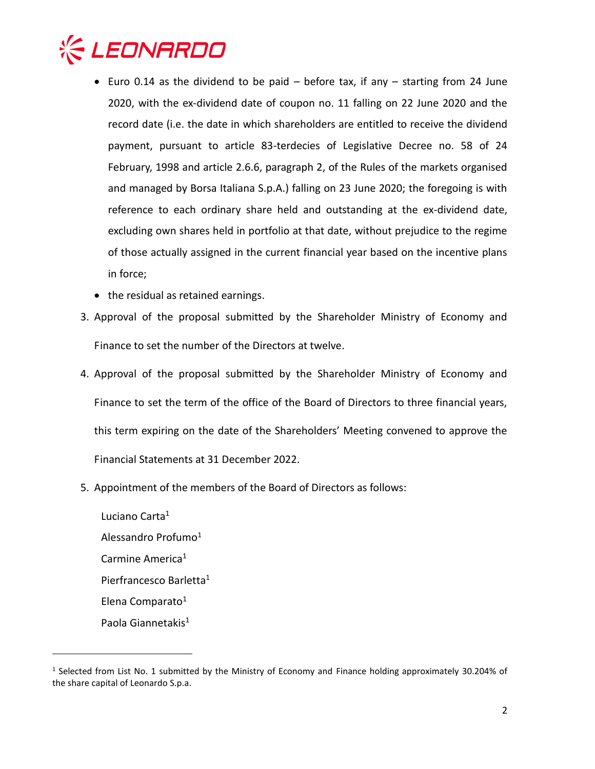

- Euro 0.14 as the dividend to be paid  $-$  before tax, if any  $-$  starting from 24 June 2020, with the ex-dividend date of coupon no. 11 falling on 22 June 2020 and the record date (i.e. the date in which shareholders are entitled to receive the dividend payment, pursuant to article 83-terdecies of Legislative Decree no. 58 of 24 February, 1998 and article 2.6.6, paragraph 2, of the Rules of the markets organised and managed by Borsa Italiana S.p.A.) falling on 23 June 2020; the foregoing is with reference to each ordinary share held and outstanding at the ex-dividend date, excluding own shares held in portfolio at that date, without prejudice to the regime of those actually assigned in the current financial year based on the incentive plans in force;
- the residual as retained earnings.
- 3. Approval of the proposal submitted by the Shareholder Ministry of Economy and Finance to set the number of the Directors at twelve.
- 4. Approval of the proposal submitted by the Shareholder Ministry of Economy and Finance to set the term of the office of the Board of Directors to three financial years, this term expiring on the date of the Shareholders' Meeting convened to approve the Financial Statements at 31 December 2022.
- 5. Appointment of the members of the Board of Directors as follows:

Luciano Carta<sup>1</sup> Alessandro Profumo<sup>1</sup> Carmine America<sup>1</sup> Pierfrancesco Barletta<sup>1</sup> Elena Comparato<sup>1</sup> Paola Giannetakis<sup>1</sup>

 $\overline{a}$ 

<sup>&</sup>lt;sup>1</sup> Selected from List No. 1 submitted by the Ministry of Economy and Finance holding approximately 30.204% of the share capital of Leonardo S.p.a.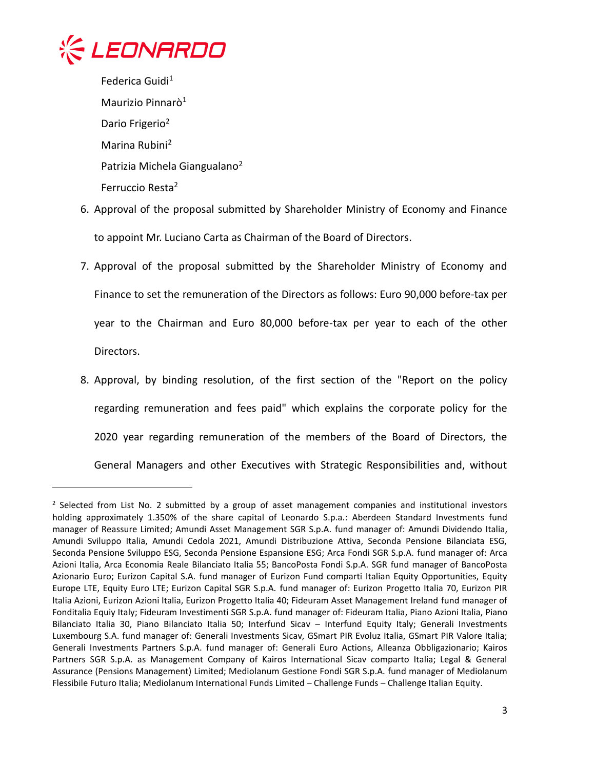

 $\overline{a}$ 

Federica Guidi<sup>1</sup> Maurizio Pinnarò<sup>1</sup> Dario Frigerio<sup>2</sup> Marina Rubini<sup>2</sup> Patrizia Michela Giangualano<sup>2</sup> Ferruccio Resta<sup>2</sup>

- 6. Approval of the proposal submitted by Shareholder Ministry of Economy and Finance to appoint Mr. Luciano Carta as Chairman of the Board of Directors.
- 7. Approval of the proposal submitted by the Shareholder Ministry of Economy and Finance to set the remuneration of the Directors as follows: Euro 90,000 before-tax per year to the Chairman and Euro 80,000 before-tax per year to each of the other Directors.
- 8. Approval, by binding resolution, of the first section of the "Report on the policy regarding remuneration and fees paid" which explains the corporate policy for the 2020 year regarding remuneration of the members of the Board of Directors, the General Managers and other Executives with Strategic Responsibilities and, without

<sup>&</sup>lt;sup>2</sup> Selected from List No. 2 submitted by a group of asset management companies and institutional investors holding approximately 1.350% of the share capital of Leonardo S.p.a.: Aberdeen Standard Investments fund manager of Reassure Limited; Amundi Asset Management SGR S.p.A. fund manager of: Amundi Dividendo Italia, Amundi Sviluppo Italia, Amundi Cedola 2021, Amundi Distribuzione Attiva, Seconda Pensione Bilanciata ESG, Seconda Pensione Sviluppo ESG, Seconda Pensione Espansione ESG; Arca Fondi SGR S.p.A. fund manager of: Arca Azioni Italia, Arca Economia Reale Bilanciato Italia 55; BancoPosta Fondi S.p.A. SGR fund manager of BancoPosta Azionario Euro; Eurizon Capital S.A. fund manager of Eurizon Fund comparti Italian Equity Opportunities, Equity Europe LTE, Equity Euro LTE; Eurizon Capital SGR S.p.A. fund manager of: Eurizon Progetto Italia 70, Eurizon PIR Italia Azioni, Eurizon Azioni Italia, Eurizon Progetto Italia 40; Fideuram Asset Management Ireland fund manager of Fonditalia Equiy Italy; Fideuram Investimenti SGR S.p.A. fund manager of: Fideuram Italia, Piano Azioni Italia, Piano Bilanciato Italia 30, Piano Bilanciato Italia 50; Interfund Sicav – Interfund Equity Italy; Generali Investments Luxembourg S.A. fund manager of: Generali Investments Sicav, GSmart PIR Evoluz Italia, GSmart PIR Valore Italia; Generali Investments Partners S.p.A. fund manager of: Generali Euro Actions, Alleanza Obbligazionario; Kairos Partners SGR S.p.A. as Management Company of Kairos International Sicav comparto Italia; Legal & General Assurance (Pensions Management) Limited; Mediolanum Gestione Fondi SGR S.p.A. fund manager of Mediolanum Flessibile Futuro Italia; Mediolanum International Funds Limited – Challenge Funds – Challenge Italian Equity.